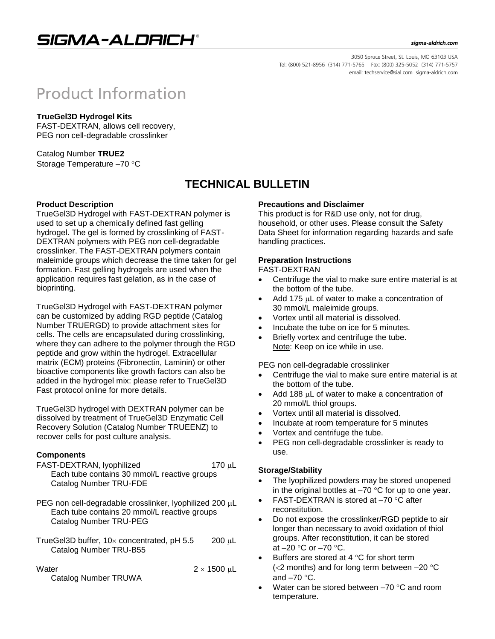# SIGMA-ALDRICH®

#### sigma-aldrich.com

3050 Spruce Street, St. Louis, MO 63103 USA Tel: (800) 521-8956 (314) 771-5765 Fax: (800) 325-5052 (314) 771-5757 email: techservice@sial.com sigma-aldrich.com

# **Product Information**

#### **TrueGel3D Hydrogel Kits**

FAST-DEXTRAN, allows cell recovery, PEG non cell-degradable crosslinker

Catalog Number **TRUE2** Storage Temperature -70 °C

# **TECHNICAL BULLETIN**

#### **Product Description**

TrueGel3D Hydrogel with FAST-DEXTRAN polymer is used to set up a chemically defined fast gelling hydrogel. The gel is formed by crosslinking of FAST-DEXTRAN polymers with PEG non cell-degradable crosslinker. The FAST-DEXTRAN polymers contain maleimide groups which decrease the time taken for gel formation. Fast gelling hydrogels are used when the application requires fast gelation, as in the case of bioprinting.

TrueGel3D Hydrogel with FAST-DEXTRAN polymer can be customized by adding RGD peptide (Catalog Number TRUERGD) to provide attachment sites for cells. The cells are encapsulated during crosslinking, where they can adhere to the polymer through the RGD peptide and grow within the hydrogel. Extracellular matrix (ECM) proteins (Fibronectin, Laminin) or other bioactive components like growth factors can also be added in the hydrogel mix: please refer to TrueGel3D Fast protocol online for more details.

TrueGel3D hydrogel with DEXTRAN polymer can be dissolved by treatment of TrueGel3D Enzymatic Cell Recovery Solution (Catalog Number TRUEENZ) to recover cells for post culture analysis.

### **Components**

- FAST-DEXTRAN, lyophilized 170 µL Each tube contains 30 mmol/L reactive groups Catalog Number TRU-FDE
- PEG non cell-degradable crosslinker, lyophilized 200  $\mu$ L Each tube contains 20 mmol/L reactive groups Catalog Number TRU-PEG
- TrueGel3D buffer,  $10 \times$  concentrated, pH 5.5 200 µL Catalog Number TRU-B55

Water  $2 \times 1500 \text{ }\mu\text{L}$ Catalog Number TRUWA

### **Precautions and Disclaimer**

This product is for R&D use only, not for drug, household, or other uses. Please consult the Safety Data Sheet for information regarding hazards and safe handling practices.

## **Preparation Instructions**

## FAST-DEXTRAN

- Centrifuge the vial to make sure entire material is at the bottom of the tube.
- Add 175 uL of water to make a concentration of 30 mmol/L maleimide groups.
- Vortex until all material is dissolved.
- Incubate the tube on ice for 5 minutes.
- Briefly vortex and centrifuge the tube. Note: Keep on ice while in use.

PEG non cell-degradable crosslinker

- Centrifuge the vial to make sure entire material is at the bottom of the tube.
- Add 188  $\mu$ L of water to make a concentration of 20 mmol/L thiol groups.
- Vortex until all material is dissolved.
- Incubate at room temperature for 5 minutes
- Vortex and centrifuge the tube.
- PEG non cell-degradable crosslinker is ready to use.

#### **Storage/Stability**

- The lyophilized powders may be stored unopened in the original bottles at  $-70$  °C for up to one year.
- FAST-DEXTRAN is stored at  $-70$  °C after reconstitution.
- Do not expose the crosslinker/RGD peptide to air longer than necessary to avoid oxidation of thiol groups. After reconstitution, it can be stored at  $-20$  °C or  $-70$  °C.
- Buffers are stored at 4  $\degree$ C for short term ( $<$ 2 months) and for long term between  $-20$  °C and  $-70$  °C.
- Water can be stored between  $-70$  °C and room temperature.